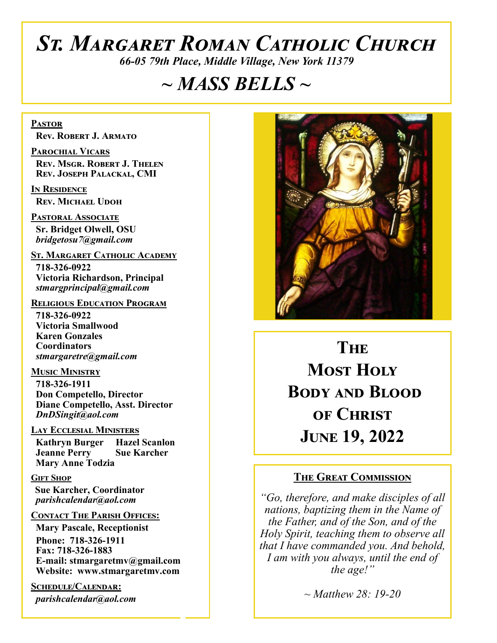# *St. Margaret Roman Catholic Church*

*66-05 79th Place, Middle Village, New York 11379*

# *~ MASS BELLS ~*

**Pastor Rev. Robert J. Armato**

**Parochial Vicars Rev. Msgr. Robert J. Thelen Rev. Joseph Palackal, CMI**

**In Residence Rev. Michael Udoh**

**Pastoral Associate Sr. Bridget Olwell, OSU**  *bridgetosu7@gmail.com*

**St. Margaret Catholic Academy**

 **718-326-0922 Victoria Richardson, Principal**  *stmargprincipal@gmail.com*

#### **Religious Education Program**

 **718-326-0922 Victoria Smallwood Karen Gonzales Coordinators** *stmargaretre@gmail.com*

**Music Ministry 718-326-1911 Don Competello, Director Diane Competello, Asst. Director** *DnDSingit@aol.com*

#### **Lay Ecclesial Ministers**

 **Kathryn Burger Hazel Scanlon Jeanne Perry Sue Karcher Mary Anne Todzia**

#### **Gift Shop**

 **Sue Karcher, Coordinator** *parishcalendar@aol.com*

#### **Contact The Parish Offices:**

 **Mary Pascale, Receptionist Phone: 718-326-1911 Fax: 718-326-1883 E-mail: stmargaretmv@gmail.com Website: www.stmargaretmv.com**

**Schedule/Calendar:** *parishcalendar@aol.com*



**THE Most Holy Body and Blood of Christ June 19, 2022** 

#### **The Great Commission**

*"Go, therefore, and make disciples of all nations, baptizing them in the Name of the Father, and of the Son, and of the Holy Spirit, teaching them to observe all that I have commanded you. And behold, I am with you always, until the end of the age!"*

*~ Matthew 28: 19-20*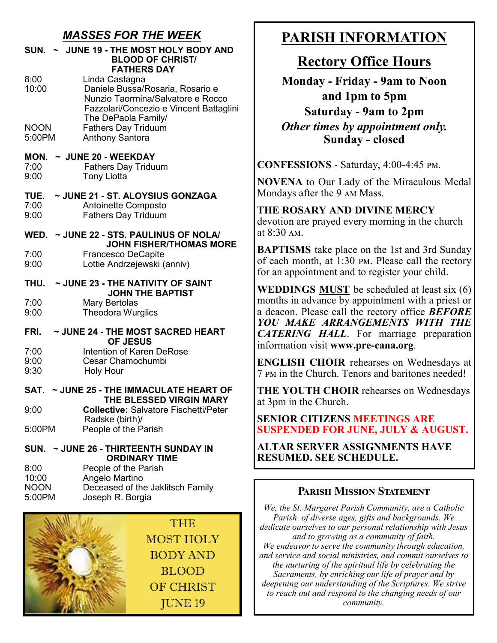## *MASSES FOR THE WEEK*

| ~ JUNE 19 - THE MOST HOLY BODY AND<br><b>SUN.</b><br><b>BLOOD OF CHRIST/</b><br><b>FATHERS DAY</b> |                                                                                                                                                           |  |
|----------------------------------------------------------------------------------------------------|-----------------------------------------------------------------------------------------------------------------------------------------------------------|--|
| 8:00<br>10:00                                                                                      | Linda Castagna<br>Daniele Bussa/Rosaria, Rosario e<br>Nunzio Taormina/Salvatore e Rocco<br>Fazzolari/Concezio e Vincent Battaglini<br>The DePaola Family/ |  |
| <b>NOON</b><br>5:00PM                                                                              | <b>Fathers Day Triduum</b><br><b>Anthony Santora</b>                                                                                                      |  |
| MON.<br>7:00<br>9:00                                                                               | $\sim$ JUNE 20 - WEEKDAY<br><b>Fathers Day Triduum</b><br><b>Tony Liotta</b>                                                                              |  |
| TUE.<br>7:00<br>9:00                                                                               | ~ JUNE 21 - ST. ALOYSIUS GONZAGA<br>Antoinette Composto<br><b>Fathers Day Triduum</b>                                                                     |  |
| WED. ~ JUNE 22 - STS. PAULINUS OF NOLA/                                                            |                                                                                                                                                           |  |
| 7:00<br>9:00                                                                                       | <b>JOHN FISHER/THOMAS MORE</b><br><b>Francesco DeCapite</b><br>Lottie Andrzejewski (anniv)                                                                |  |
| ~ JUNE 23 - THE NATIVITY OF SAINT<br>THU.<br><b>JOHN THE BAPTIST</b>                               |                                                                                                                                                           |  |
| 7:00<br>9:00                                                                                       | <b>Mary Bertolas</b><br><b>Theodora Wurglics</b>                                                                                                          |  |
| ~ JUNE 24 - THE MOST SACRED HEART<br>FRI.<br><b>OF JESUS</b>                                       |                                                                                                                                                           |  |
| 7:00<br>9:00<br>9:30                                                                               | <b>Intention of Karen DeRose</b><br>Cesar Chamochumbi<br><b>Holy Hour</b>                                                                                 |  |
| ~ JUNE 25 - THE IMMACULATE HEART OF<br>SAT.<br>THE BLESSED VIRGIN MARY                             |                                                                                                                                                           |  |
| 9:00                                                                                               | <b>Collective: Salvatore Fischetti/Peter</b>                                                                                                              |  |
| 5:00PM                                                                                             | Radske (birth)/<br>People of the Parish                                                                                                                   |  |
| SUN. ~ JUNE 26 - THIRTEENTH SUNDAY IN<br><b>ORDINARY TIME</b>                                      |                                                                                                                                                           |  |
| 8:00<br>10:00<br><b>NOON</b><br>5:00PM                                                             | People of the Parish<br>Angelo Martino<br>Deceased of the Jaklitsch Family<br>Joseph R. Borgia                                                            |  |



# **PARISH INFORMATION**

# **Rectory Office Hours**

**Monday - Friday - 9am to Noon and 1pm to 5pm Saturday - 9am to 2pm** *Other times by appointment only.* **Sunday - closed**

**CONFESSIONS** - Saturday, 4:00-4:45 pm.

**NOVENA** to Our Lady of the Miraculous Medal Mondays after the 9 am Mass.

**THE ROSARY AND DIVINE MERCY** devotion are prayed every morning in the church at 8:30 am.

**BAPTISMS** take place on the 1st and 3rd Sunday of each month, at 1:30 pm. Please call the rectory for an appointment and to register your child.

**WEDDINGS MUST** be scheduled at least six (6) months in advance by appointment with a priest or a deacon. Please call the rectory office *BEFORE YOU MAKE ARRANGEMENTS WITH THE CATERING HALL*. For marriage preparation information visit **www.pre-cana.org**.

**ENGLISH CHOIR** rehearses on Wednesdays at 7 pm in the Church. Tenors and baritones needed!

**THE YOUTH CHOIR** rehearses on Wednesdays at 3pm in the Church.

**SENIOR CITIZENS MEETINGS ARE SUSPENDED FOR JUNE, JULY & AUGUST.**

**ALTAR SERVER ASSIGNMENTS HAVE RESUMED. SEE SCHEDULE.** 

#### **Parish Mission Statement**

*We, the St. Margaret Parish Community, are a Catholic Parish of diverse ages, gifts and backgrounds. We dedicate ourselves to our personal relationship with Jesus and to growing as a community of faith. We endeavor to serve the community through education, and service and social ministries, and commit ourselves to the nurturing of the spiritual life by celebrating the Sacraments, by enriching our life of prayer and by deepening our understanding of the Scriptures. We strive to reach out and respond to the changing needs of our community.*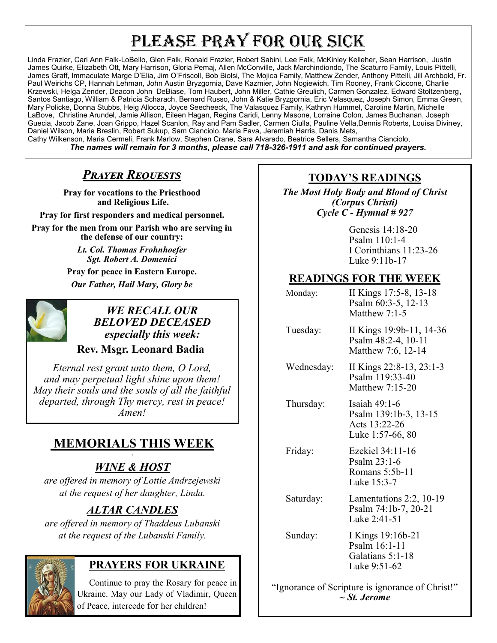# PLEASE PRAY FOR OUR SICK

Linda Frazier, Cari Ann Falk-LoBello, Glen Falk, Ronald Frazier, Robert Sabini, Lee Falk, McKinley Kelleher, Sean Harrison, Justin James Quirke, Elizabeth Ott, Mary Harrison, Gloria Pemaj, Allen McConville, Jack Marchindiondo, The Scaturro Family, Louis Pittelli, James Graff, Immaculate Marge D'Elia, Jim O'Friscoll, Bob Biolsi, The Mojica Family, Matthew Zender, Anthony Pittelli, Jill Archbold, Fr. Paul Weirichs CP, Hannah Lehman, John Austin Bryzgornia, Dave Kazmier, John Nogiewich, Tim Rooney, Frank Ciccone, Charlie Krzewski, Helga Zender, Deacon John DeBiase, Tom Haubert, John Miller, Cathie Greulich, Carmen Gonzalez, Edward Stoltzenberg, Santos Santiago, William & Patricia Scharach, Bernard Russo, John & Katie Bryzgornia, Eric Velasquez, Joseph Simon, Emma Green, Mary Policke, Donna Stubbs, Heig Allocca, Joyce Seecheeck, The Valasquez Family, Kathryn Hummel, Caroline Martin, Michelle LaBove, Christine Arundel, Jamie Allison, Eileen Hagan, Regina Caridi, Lenny Masone, Lorraine Colon, James Buchanan, Joseph Guecia, Jacob Zane, Joan Grippo, Hazel Scanlon, Ray and Pam Sadler, Carmen Ciulla, Pauline Vella,Dennis Roberts, Louisa Diviney, Daniel Wilson, Marie Breslin, Robert Sukup, Sam Cianciolo, Maria Fava, Jeremiah Harris, Danis Mets, Cathy Wilkenson, Maria Cermeli, Frank Marlow, Stephen Crane, Sara Alvarado, Beatrice Sellers, Samantha Cianciolo,

*The names will remain for 3 months, please call 718-326-1911 and ask for continued prayers.*

## *Prayer Requests*

**Pray for vocations to the Priesthood and Religious Life.**

**Pray for first responders and medical personnel.**

**Pray for the men from our Parish who are serving in the defense of our country:**

> *Lt. Col. Thomas Frohnhoefer Sgt. Robert A. Domenici*

**Pray for peace in Eastern Europe.** *Our Father, Hail Mary, Glory be* 



*WE RECALL OUR BELOVED DECEASED especially this week:*

#### **Rev. Msgr. Leonard Badia**

*Eternal rest grant unto them, O Lord, and may perpetual light shine upon them! May their souls and the souls of all the faithful departed, through Thy mercy, rest in peace! Amen!*

## **MEMORIALS THIS WEEK**

#### *t WINE & HOST*

*are offered in memory of Lottie Andrzejewski at the request of her daughter, Linda.*

## *ALTAR CANDLES*

*are offered in memory of Thaddeus Lubanski at the request of the Lubanski Family.*



## **PRAYERS FOR UKRAINE**

 Continue to pray the Rosary for peace in Ukraine. May our Lady of Vladimir, Queen of Peace, intercede for her children!

## **TODAY'S READINGS**

*The Most Holy Body and Blood of Christ (Corpus Christi) Cycle C - Hymnal # 927* 

> Genesis 14:18-20 Psalm 110:1-4 I Corinthians 11:23-26 Luke 9:11b-17

## **READINGS FOR THE WEEK**

| Monday:  | II Kings 17:5-8, 13-18<br>Psalm 60:3-5, 12-13<br>Matthew $7:1-5$ |
|----------|------------------------------------------------------------------|
| Tuesday: | II Kings 19:9b-11, 14-36<br>Psalm 48:2-4, 10-11                  |

Matthew 7:6, 12-14 Wednesday: II Kings 22:8-13, 23:1-3 Psalm 119:33-40

Matthew 7:15-20

 Thursday: Isaiah 49:1-6 Psalm 139:1b-3, 13-15 Acts 13:22-26 Luke 1:57-66, 80

 Friday: Ezekiel 34:11-16 Psalm 23:1-6 Romans 5:5b-11 Luke 15:3-7

 Saturday: Lamentations 2:2, 10-19 Psalm 74:1b-7, 20-21 Luke 2:41-51

 Sunday: I Kings 19:16b-21 Psalm 16:1-11 Galatians 5:1-18 Luke 9:51-62

"Ignorance of Scripture is ignorance of Christ!" *~ St. Jerome*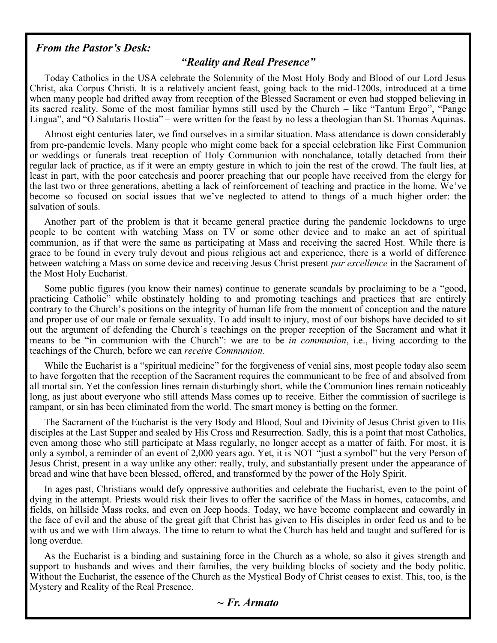#### *From the Pastor's Desk:*

#### *"Reality and Real Presence"*

Today Catholics in the USA celebrate the Solemnity of the Most Holy Body and Blood of our Lord Jesus Christ, aka Corpus Christi. It is a relatively ancient feast, going back to the mid-1200s, introduced at a time when many people had drifted away from reception of the Blessed Sacrament or even had stopped believing in its sacred reality. Some of the most familiar hymns still used by the Church – like "Tantum Ergo", "Pange Lingua", and "O Salutaris Hostia" – were written for the feast by no less a theologian than St. Thomas Aquinas.

Almost eight centuries later, we find ourselves in a similar situation. Mass attendance is down considerably from pre-pandemic levels. Many people who might come back for a special celebration like First Communion or weddings or funerals treat reception of Holy Communion with nonchalance, totally detached from their regular lack of practice, as if it were an empty gesture in which to join the rest of the crowd. The fault lies, at least in part, with the poor catechesis and poorer preaching that our people have received from the clergy for the last two or three generations, abetting a lack of reinforcement of teaching and practice in the home. We've become so focused on social issues that we've neglected to attend to things of a much higher order: the salvation of souls.

Another part of the problem is that it became general practice during the pandemic lockdowns to urge people to be content with watching Mass on TV or some other device and to make an act of spiritual communion, as if that were the same as participating at Mass and receiving the sacred Host. While there is grace to be found in every truly devout and pious religious act and experience, there is a world of difference between watching a Mass on some device and receiving Jesus Christ present *par excellence* in the Sacrament of the Most Holy Eucharist.

Some public figures (you know their names) continue to generate scandals by proclaiming to be a "good, practicing Catholic" while obstinately holding to and promoting teachings and practices that are entirely contrary to the Church's positions on the integrity of human life from the moment of conception and the nature and proper use of our male or female sexuality. To add insult to injury, most of our bishops have decided to sit out the argument of defending the Church's teachings on the proper reception of the Sacrament and what it means to be "in communion with the Church": we are to be *in communion*, i.e., living according to the teachings of the Church, before we can *receive Communion*.

While the Eucharist is a "spiritual medicine" for the forgiveness of venial sins, most people today also seem to have forgotten that the reception of the Sacrament requires the communicant to be free of and absolved from all mortal sin. Yet the confession lines remain disturbingly short, while the Communion lines remain noticeably long, as just about everyone who still attends Mass comes up to receive. Either the commission of sacrilege is rampant, or sin has been eliminated from the world. The smart money is betting on the former.

The Sacrament of the Eucharist is the very Body and Blood, Soul and Divinity of Jesus Christ given to His disciples at the Last Supper and sealed by His Cross and Resurrection. Sadly, this is a point that most Catholics, even among those who still participate at Mass regularly, no longer accept as a matter of faith. For most, it is only a symbol, a reminder of an event of 2,000 years ago. Yet, it is NOT "just a symbol" but the very Person of Jesus Christ, present in a way unlike any other: really, truly, and substantially present under the appearance of bread and wine that have been blessed, offered, and transformed by the power of the Holy Spirit.

In ages past, Christians would defy oppressive authorities and celebrate the Eucharist, even to the point of dying in the attempt. Priests would risk their lives to offer the sacrifice of the Mass in homes, catacombs, and fields, on hillside Mass rocks, and even on Jeep hoods. Today, we have become complacent and cowardly in the face of evil and the abuse of the great gift that Christ has given to His disciples in order feed us and to be with us and we with Him always. The time to return to what the Church has held and taught and suffered for is long overdue.

As the Eucharist is a binding and sustaining force in the Church as a whole, so also it gives strength and support to husbands and wives and their families, the very building blocks of society and the body politic. Without the Eucharist, the essence of the Church as the Mystical Body of Christ ceases to exist. This, too, is the Mystery and Reality of the Real Presence.

#### *~ Fr. Armato*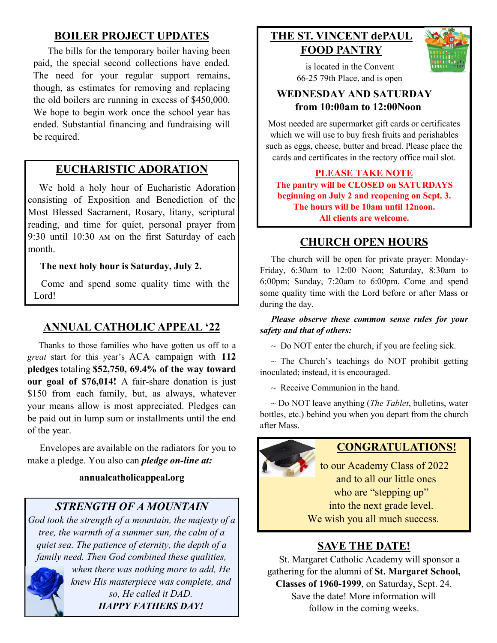## **BOILER PROJECT UPDATES**

The bills for the temporary boiler having been paid, the special second collections have ended. The need for your regular support remains, though, as estimates for removing and replacing the old boilers are running in excess of \$450,000. We hope to begin work once the school year has ended. Substantial financing and fundraising will be required.

## **EUCHARISTIC ADORATION**

 We hold a holy hour of Eucharistic Adoration consisting of Exposition and Benediction of the Most Blessed Sacrament, Rosary, litany, scriptural reading, and time for quiet, personal prayer from 9:30 until 10:30 am on the first Saturday of each month.

#### **The next holy hour is Saturday, July 2.**

 Come and spend some quality time with the Lord!

## **ANNUAL CATHOLIC APPEAL '22**

 Thanks to those families who have gotten us off to a *great* start for this year's ACA campaign with **112 pledges** totaling **\$52,750, 69.4% of the way toward our goal of \$76,014!** A fair-share donation is just \$150 from each family, but, as always, whatever your means allow is most appreciated. Pledges can be paid out in lump sum or installments until the end of the year.

 Envelopes are available on the radiators for you to make a pledge. You also can *pledge on-line at:*

#### **annualcatholicappeal.org**

## *STRENGTH OF A MOUNTAIN*

*God took the strength of a mountain, the majesty of a tree, the warmth of a summer sun, the calm of a quiet sea. The patience of eternity, the depth of a family need. Then God combined these qualities,* 



*when there was nothing more to add, He knew His masterpiece was complete, and so, He called it DAD. HAPPY FATHERS DAY!*

## **THE ST. VINCENT dePAUL FOOD PANTRY**



 is located in the Convent 66-25 79th Place, and is open

## **WEDNESDAY AND SATURDAY from 10:00am to 12:00Noon**

Most needed are supermarket gift cards or certificates which we will use to buy fresh fruits and perishables such as eggs, cheese, butter and bread. Please place the cards and certificates in the rectory office mail slot.

**PLEASE TAKE NOTE The pantry will be CLOSED on SATURDAYS beginning on July 2 and reopening on Sept. 3. The hours will be 10am until 12noon. All clients are welcome.**

## **CHURCH OPEN HOURS**

 The church will be open for private prayer: Monday-Friday, 6:30am to 12:00 Noon; Saturday, 8:30am to 6:00pm; Sunday, 7:20am to 6:00pm. Come and spend some quality time with the Lord before or after Mass or during the day.

#### *Please observe these common sense rules for your safety and that of others:*

 $\sim$  Do <u>NOT</u> enter the church, if you are feeling sick.

 $\sim$  The Church's teachings do NOT prohibit getting inoculated; instead, it is encouraged.

 $\sim$  Receive Communion in the hand.

 ~ Do NOT leave anything (*The Tablet*, bulletins, water bottles, etc.) behind you when you depart from the church after Mass.



## **CONGRATULATIONS!**

to our Academy Class of 2022 and to all our little ones who are "stepping up" into the next grade level. We wish you all much success.

# **SAVE THE DATE!**

 St. Margaret Catholic Academy will sponsor a gathering for the alumni of **St. Margaret School, Classes of 1960-1999**, on Saturday, Sept. 24. Save the date! More information will follow in the coming weeks.